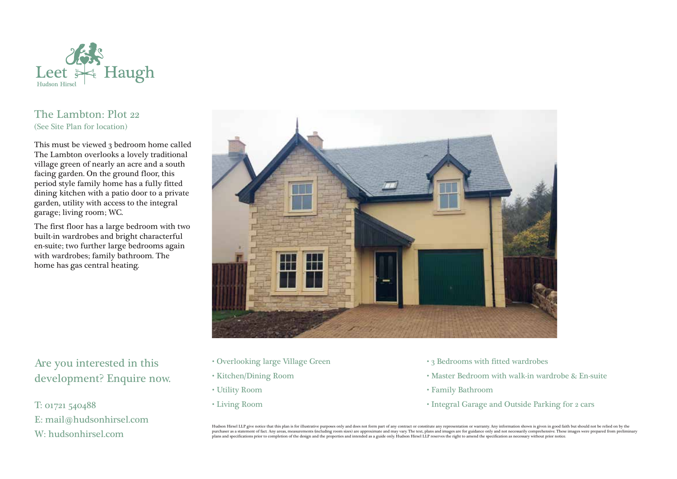

## The Lambton: Plot 22 (See Site Plan for location)

This must be viewed 3 bedroom home called The Lambton overlooks a lovely traditional village green of nearly an acre and a south facing garden. On the ground floor, this period style family home has a fully fitted dining kitchen with a patio door to a private garden, utility with access to the integral garage; living room; WC.

The first floor has a large bedroom with two built-in wardrobes and bright characterful en-suite; two further large bedrooms again with wardrobes; family bathroom. The home has gas central heating.



## Are you interested in this development? Enquire now.

T: 01721 540488 E: mail@hudsonhirsel.com W: hudsonhirsel.com

- Overlooking large Village Green
- Kitchen/Dining Room
- Utility Room
- Living Room
- 3 Bedrooms with fitted wardrobes
- Master Bedroom with walk-in wardrobe & En-suite
- Family Bathroom
- Integral Garage and Outside Parking for 2 cars

Hudson Hirsel LLP give notice that this plan is for illustrative purposes only and does not form part of any contract or constitute any representation or warranty. Any information shown is given in good faith but should no purchaser as a statement of fact. Any areas, measurements (including room sizes) are approximate and may vary. The text, plans and images are for guidance only and not necessarily comprehensive. These images were prepared